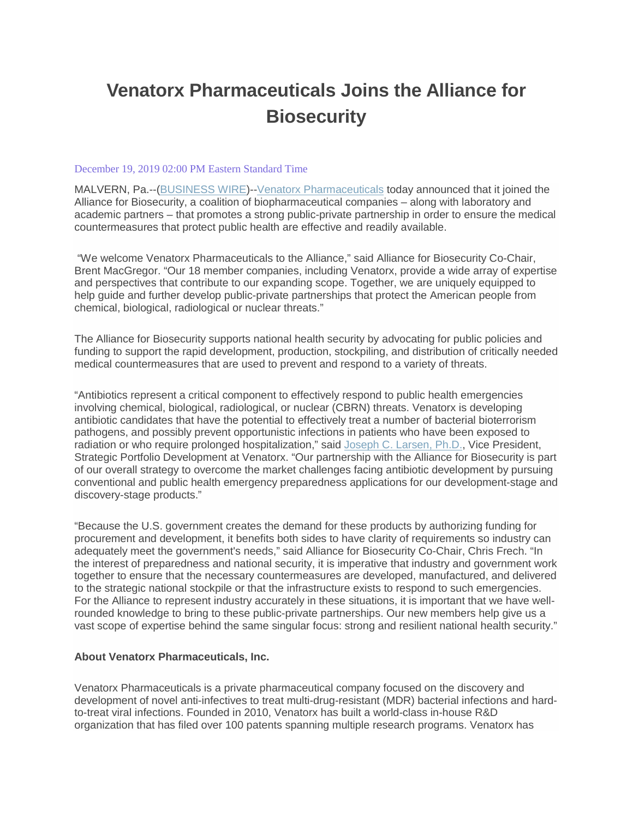## **Venatorx Pharmaceuticals Joins the Alliance for Biosecurity**

## December 19, 2019 02:00 PM Eastern Standard Time

MALVERN, Pa.--[\(BUSINESS WIRE\)](https://www.businesswire.com/)-[-Venatorx Pharmaceuticals](https://cts.businesswire.com/ct/CT?id=smartlink&url=https%3A%2F%2Fwww.venatorx.com%2F&esheet=52149905&newsitemid=20191219005668&lan=en-US&anchor=Venatorx+Pharmaceuticals&index=1&md5=7cfd4f6fd8053aea764b9a946621a657) today announced that it joined the Alliance for Biosecurity, a coalition of biopharmaceutical companies – along with laboratory and academic partners – that promotes a strong public-private partnership in order to ensure the medical countermeasures that protect public health are effective and readily available.

"We welcome Venatorx Pharmaceuticals to the Alliance," said Alliance for Biosecurity Co-Chair, Brent MacGregor. "Our 18 member companies, including Venatorx, provide a wide array of expertise and perspectives that contribute to our expanding scope. Together, we are uniquely equipped to help guide and further develop public-private partnerships that protect the American people from chemical, biological, radiological or nuclear threats."

The Alliance for Biosecurity supports national health security by advocating for public policies and funding to support the rapid development, production, stockpiling, and distribution of critically needed medical countermeasures that are used to prevent and respond to a variety of threats.

"Antibiotics represent a critical component to effectively respond to public health emergencies involving chemical, biological, radiological, or nuclear (CBRN) threats. Venatorx is developing antibiotic candidates that have the potential to effectively treat a number of bacterial bioterrorism pathogens, and possibly prevent opportunistic infections in patients who have been exposed to radiation or who require prolonged hospitalization," said [Joseph C. Larsen, Ph.D.,](https://cts.businesswire.com/ct/CT?id=smartlink&url=https%3A%2F%2Fwww.venatorx.com%2Fleadership%2F&esheet=52149905&newsitemid=20191219005668&lan=en-US&anchor=Joseph+C.+Larsen%2C+Ph.D.&index=2&md5=c49c85ab4e8ad1aeb68832556f885aeb) Vice President, Strategic Portfolio Development at Venatorx. "Our partnership with the Alliance for Biosecurity is part of our overall strategy to overcome the market challenges facing antibiotic development by pursuing conventional and public health emergency preparedness applications for our development-stage and discovery-stage products."

"Because the U.S. government creates the demand for these products by authorizing funding for procurement and development, it benefits both sides to have clarity of requirements so industry can adequately meet the government's needs," said Alliance for Biosecurity Co-Chair, Chris Frech. "In the interest of preparedness and national security, it is imperative that industry and government work together to ensure that the necessary countermeasures are developed, manufactured, and delivered to the strategic national stockpile or that the infrastructure exists to respond to such emergencies. For the Alliance to represent industry accurately in these situations, it is important that we have wellrounded knowledge to bring to these public-private partnerships. Our new members help give us a vast scope of expertise behind the same singular focus: strong and resilient national health security."

## **About Venatorx Pharmaceuticals, Inc.**

Venatorx Pharmaceuticals is a private pharmaceutical company focused on the discovery and development of novel anti-infectives to treat multi-drug-resistant (MDR) bacterial infections and hardto-treat viral infections. Founded in 2010, Venatorx has built a world-class in-house R&D organization that has filed over 100 patents spanning multiple research programs. Venatorx has